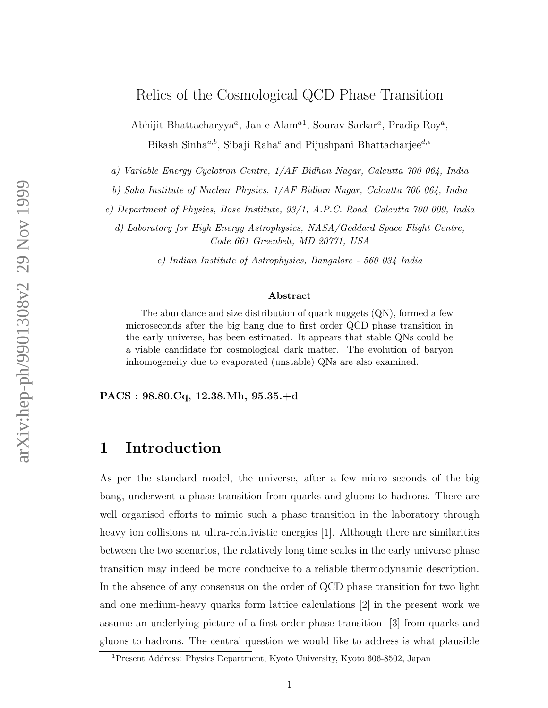#### Relics of the Cosmological QCD Phase Transition

Abhijit Bhattacharyya<sup>a</sup>, Jan-e Alam<sup>a1</sup>, Sourav Sarkar<sup>a</sup>, Pradip Roy<sup>a</sup>, Bikash Sinha<sup>a,b</sup>, Sibaji Raha<sup>c</sup> and Pijushpani Bhattacharjee<sup>d,e</sup>

a) Variable Energy Cyclotron Centre, 1/AF Bidhan Nagar, Calcutta 700 064, India

b) Saha Institute of Nuclear Physics, 1/AF Bidhan Nagar, Calcutta 700 064, India

c) Department of Physics, Bose Institute, 93/1, A.P.C. Road, Calcutta 700 009, India

d) Laboratory for High Energy Astrophysics, NASA/Goddard Space Flight Centre, Code 661 Greenbelt, MD 20771, USA

e) Indian Institute of Astrophysics, Bangalore - 560 034 India

#### Abstract

The abundance and size distribution of quark nuggets (QN), formed a few microseconds after the big bang due to first order QCD phase transition in the early universe, has been estimated. It appears that stable QNs could be a viable candidate for cosmological dark matter. The evolution of baryon inhomogeneity due to evaporated (unstable) QNs are also examined.

PACS : 98.80.Cq, 12.38.Mh, 95.35.+d

### 1 Introduction

As per the standard model, the universe, after a few micro seconds of the big bang, underwent a phase transition from quarks and gluons to hadrons. There are well organised efforts to mimic such a phase transition in the laboratory through heavy ion collisions at ultra-relativistic energies [1]. Although there are similarities between the two scenarios, the relatively long time scales in the early universe phase transition may indeed be more conducive to a reliable thermodynamic description. In the absence of any consensus on the order of QCD phase transition for two light and one medium-heavy quarks form lattice calculations [2] in the present work we assume an underlying picture of a first order phase transition [3] from quarks and gluons to hadrons. The central question we would like to address is what plausible

<sup>1</sup>Present Address: Physics Department, Kyoto University, Kyoto 606-8502, Japan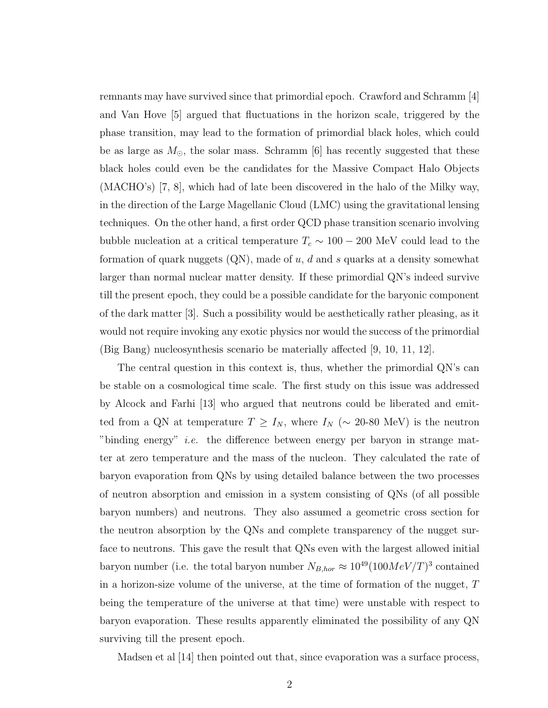remnants may have survived since that primordial epoch. Crawford and Schramm [4] and Van Hove [5] argued that fluctuations in the horizon scale, triggered by the phase transition, may lead to the formation of primordial black holes, which could be as large as  $M_{\odot}$ , the solar mass. Schramm [6] has recently suggested that these black holes could even be the candidates for the Massive Compact Halo Objects (MACHO's) [7, 8], which had of late been discovered in the halo of the Milky way, in the direction of the Large Magellanic Cloud (LMC) using the gravitational lensing techniques. On the other hand, a first order QCD phase transition scenario involving bubble nucleation at a critical temperature  $T_c \sim 100 - 200$  MeV could lead to the formation of quark nuggets  $(QN)$ , made of  $u, d$  and  $s$  quarks at a density somewhat larger than normal nuclear matter density. If these primordial QN's indeed survive till the present epoch, they could be a possible candidate for the baryonic component of the dark matter [3]. Such a possibility would be aesthetically rather pleasing, as it would not require invoking any exotic physics nor would the success of the primordial (Big Bang) nucleosynthesis scenario be materially affected [9, 10, 11, 12].

The central question in this context is, thus, whether the primordial QN's can be stable on a cosmological time scale. The first study on this issue was addressed by Alcock and Farhi [13] who argued that neutrons could be liberated and emitted from a QN at temperature  $T \ge I_N$ , where  $I_N$  (~ 20-80 MeV) is the neutron "binding energy" *i.e.* the difference between energy per baryon in strange matter at zero temperature and the mass of the nucleon. They calculated the rate of baryon evaporation from QNs by using detailed balance between the two processes of neutron absorption and emission in a system consisting of QNs (of all possible baryon numbers) and neutrons. They also assumed a geometric cross section for the neutron absorption by the QNs and complete transparency of the nugget surface to neutrons. This gave the result that QNs even with the largest allowed initial baryon number (i.e. the total baryon number  $N_{B,hor} \approx 10^{49} (100 MeV/T)^3$  contained in a horizon-size volume of the universe, at the time of formation of the nugget, T being the temperature of the universe at that time) were unstable with respect to baryon evaporation. These results apparently eliminated the possibility of any QN surviving till the present epoch.

Madsen et al [14] then pointed out that, since evaporation was a surface process,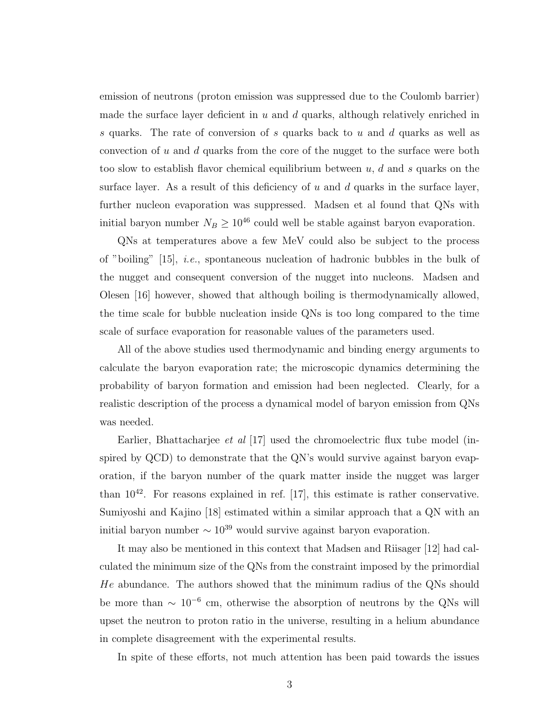emission of neutrons (proton emission was suppressed due to the Coulomb barrier) made the surface layer deficient in  $u$  and  $d$  quarks, although relatively enriched in s quarks. The rate of conversion of s quarks back to u and d quarks as well as convection of u and d quarks from the core of the nugget to the surface were both too slow to establish flavor chemical equilibrium between  $u, d$  and s quarks on the surface layer. As a result of this deficiency of  $u$  and  $d$  quarks in the surface layer, further nucleon evaporation was suppressed. Madsen et al found that QNs with initial baryon number  $N_B \geq 10^{46}$  could well be stable against baryon evaporation.

QNs at temperatures above a few MeV could also be subject to the process of "boiling"  $[15]$ , *i.e.*, spontaneous nucleation of hadronic bubbles in the bulk of the nugget and consequent conversion of the nugget into nucleons. Madsen and Olesen [16] however, showed that although boiling is thermodynamically allowed, the time scale for bubble nucleation inside QNs is too long compared to the time scale of surface evaporation for reasonable values of the parameters used.

All of the above studies used thermodynamic and binding energy arguments to calculate the baryon evaporation rate; the microscopic dynamics determining the probability of baryon formation and emission had been neglected. Clearly, for a realistic description of the process a dynamical model of baryon emission from QNs was needed.

Earlier, Bhattacharjee *et al* [17] used the chromoelectric flux tube model (inspired by QCD) to demonstrate that the QN's would survive against baryon evaporation, if the baryon number of the quark matter inside the nugget was larger than  $10^{42}$ . For reasons explained in ref. [17], this estimate is rather conservative. Sumiyoshi and Kajino [18] estimated within a similar approach that a QN with an initial baryon number  $\sim 10^{39}$  would survive against baryon evaporation.

It may also be mentioned in this context that Madsen and Riisager [12] had calculated the minimum size of the QNs from the constraint imposed by the primordial He abundance. The authors showed that the minimum radius of the QNs should be more than  $\sim 10^{-6}$  cm, otherwise the absorption of neutrons by the QNs will upset the neutron to proton ratio in the universe, resulting in a helium abundance in complete disagreement with the experimental results.

In spite of these efforts, not much attention has been paid towards the issues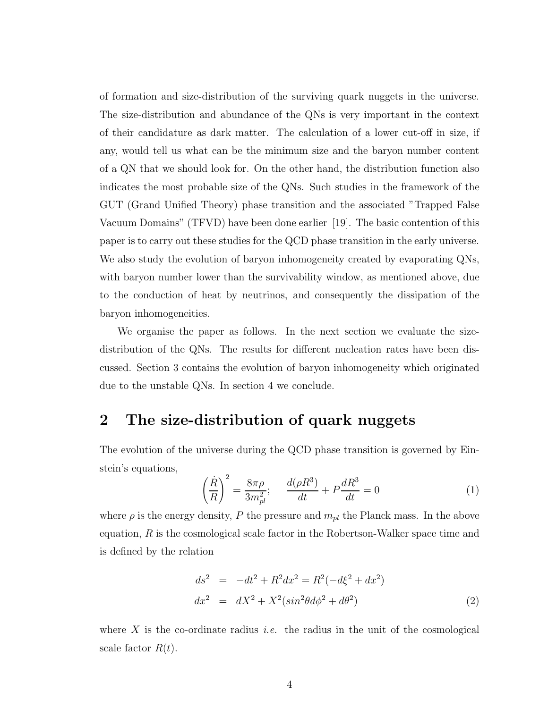of formation and size-distribution of the surviving quark nuggets in the universe. The size-distribution and abundance of the QNs is very important in the context of their candidature as dark matter. The calculation of a lower cut-off in size, if any, would tell us what can be the minimum size and the baryon number content of a QN that we should look for. On the other hand, the distribution function also indicates the most probable size of the QNs. Such studies in the framework of the GUT (Grand Unified Theory) phase transition and the associated "Trapped False Vacuum Domains" (TFVD) have been done earlier [19]. The basic contention of this paper is to carry out these studies for the QCD phase transition in the early universe. We also study the evolution of baryon inhomogeneity created by evaporating QNs, with baryon number lower than the survivability window, as mentioned above, due to the conduction of heat by neutrinos, and consequently the dissipation of the baryon inhomogeneities.

We organise the paper as follows. In the next section we evaluate the sizedistribution of the QNs. The results for different nucleation rates have been discussed. Section 3 contains the evolution of baryon inhomogeneity which originated due to the unstable QNs. In section 4 we conclude.

### 2 The size-distribution of quark nuggets

The evolution of the universe during the QCD phase transition is governed by Einstein's equations,

$$
\left(\frac{\dot{R}}{R}\right)^{2} = \frac{8\pi\rho}{3m_{pl}^{2}}; \quad \frac{d(\rho R^{3})}{dt} + P\frac{dR^{3}}{dt} = 0
$$
\n(1)

where  $\rho$  is the energy density, P the pressure and  $m_{pl}$  the Planck mass. In the above equation,  $R$  is the cosmological scale factor in the Robertson-Walker space time and is defined by the relation

$$
ds^{2} = -dt^{2} + R^{2}dx^{2} = R^{2}(-d\xi^{2} + dx^{2})
$$
  
\n
$$
dx^{2} = dX^{2} + X^{2}(\sin^{2}\theta d\phi^{2} + d\theta^{2})
$$
\n(2)

where X is the co-ordinate radius *i.e.* the radius in the unit of the cosmological scale factor  $R(t)$ .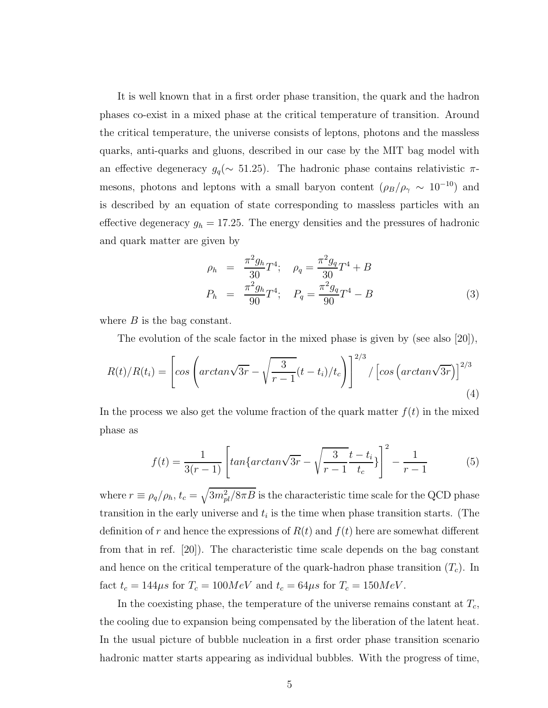It is well known that in a first order phase transition, the quark and the hadron phases co-exist in a mixed phase at the critical temperature of transition. Around the critical temperature, the universe consists of leptons, photons and the massless quarks, anti-quarks and gluons, described in our case by the MIT bag model with an effective degeneracy  $g_q(\sim 51.25)$ . The hadronic phase contains relativistic  $\pi$ mesons, photons and leptons with a small baryon content  $(\rho_B/\rho_\gamma \sim 10^{-10})$  and is described by an equation of state corresponding to massless particles with an effective degeneracy  $g_h = 17.25$ . The energy densities and the pressures of hadronic and quark matter are given by

$$
\rho_h = \frac{\pi^2 g_h}{30} T^4; \quad \rho_q = \frac{\pi^2 g_q}{30} T^4 + B
$$
  
\n
$$
P_h = \frac{\pi^2 g_h}{90} T^4; \quad P_q = \frac{\pi^2 g_q}{90} T^4 - B
$$
\n(3)

where  $B$  is the bag constant.

The evolution of the scale factor in the mixed phase is given by (see also [20]),

$$
R(t)/R(t_i) = \left[\cos\left(\arctan\sqrt{3r} - \sqrt{\frac{3}{r-1}(t-t_i)/t_c}\right)\right]^{2/3} / \left[\cos\left(\arctan\sqrt{3r}\right)\right]^{2/3}
$$
\n(4)

In the process we also get the volume fraction of the quark matter  $f(t)$  in the mixed phase as

$$
f(t) = \frac{1}{3(r-1)} \left[ \tan \{ \arctan \sqrt{3r} - \sqrt{\frac{3}{r-1}} \frac{t-t_i}{t_c} \} \right]^2 - \frac{1}{r-1}
$$
 (5)

where  $r \equiv \rho_q/\rho_h$ ,  $t_c = \sqrt{3m_{pl}^2/8\pi B}$  is the characteristic time scale for the QCD phase transition in the early universe and  $t_i$  is the time when phase transition starts. (The definition of r and hence the expressions of  $R(t)$  and  $f(t)$  here are somewhat different from that in ref. [20]). The characteristic time scale depends on the bag constant and hence on the critical temperature of the quark-hadron phase transition  $(T_c)$ . In fact  $t_c = 144\mu s$  for  $T_c = 100MeV$  and  $t_c = 64\mu s$  for  $T_c = 150MeV$ .

In the coexisting phase, the temperature of the universe remains constant at  $T_c$ , the cooling due to expansion being compensated by the liberation of the latent heat. In the usual picture of bubble nucleation in a first order phase transition scenario hadronic matter starts appearing as individual bubbles. With the progress of time,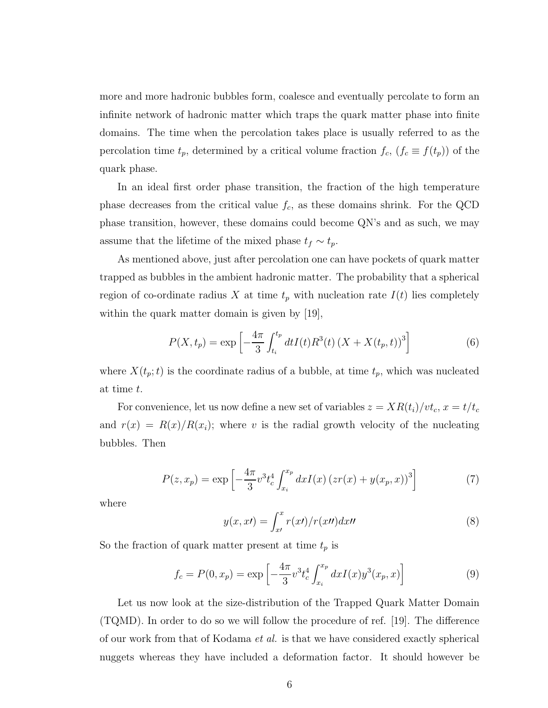more and more hadronic bubbles form, coalesce and eventually percolate to form an infinite network of hadronic matter which traps the quark matter phase into finite domains. The time when the percolation takes place is usually referred to as the percolation time  $t_p$ , determined by a critical volume fraction  $f_c$ ,  $(f_c \equiv f(t_p))$  of the quark phase.

In an ideal first order phase transition, the fraction of the high temperature phase decreases from the critical value  $f_c$ , as these domains shrink. For the QCD phase transition, however, these domains could become QN's and as such, we may assume that the lifetime of the mixed phase  $t_f \sim t_p$ .

As mentioned above, just after percolation one can have pockets of quark matter trapped as bubbles in the ambient hadronic matter. The probability that a spherical region of co-ordinate radius X at time  $t_p$  with nucleation rate  $I(t)$  lies completely within the quark matter domain is given by [19],

$$
P(X, t_p) = \exp\left[-\frac{4\pi}{3} \int_{t_i}^{t_p} dt I(t) R^3(t) (X + X(t_p, t))^3\right]
$$
(6)

where  $X(t_p; t)$  is the coordinate radius of a bubble, at time  $t_p$ , which was nucleated at time t.

For convenience, let us now define a new set of variables  $z = XR(t_i)/vt_c$ ,  $x = t/t_c$ and  $r(x) = R(x)/R(x_i)$ ; where v is the radial growth velocity of the nucleating bubbles. Then

$$
P(z, x_p) = \exp\left[-\frac{4\pi}{3}v^3 t_c^4 \int_{x_i}^{x_p} dx I(x) (zr(x) + y(x_p, x))^3\right]
$$
(7)

where

$$
y(x, xt) = \int_{x}^{x} r(xt) / r(xt) dx
$$
\n(8)

So the fraction of quark matter present at time  $t_p$  is

$$
f_c = P(0, x_p) = \exp\left[-\frac{4\pi}{3}v^3 t_c^4 \int_{x_i}^{x_p} dx I(x) y^3(x_p, x)\right]
$$
(9)

Let us now look at the size-distribution of the Trapped Quark Matter Domain (TQMD). In order to do so we will follow the procedure of ref. [19]. The difference of our work from that of Kodama et al. is that we have considered exactly spherical nuggets whereas they have included a deformation factor. It should however be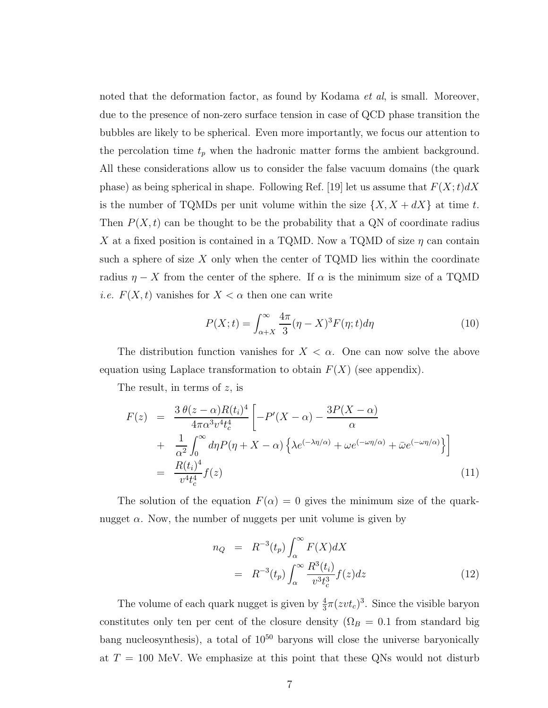noted that the deformation factor, as found by Kodama *et al*, is small. Moreover, due to the presence of non-zero surface tension in case of QCD phase transition the bubbles are likely to be spherical. Even more importantly, we focus our attention to the percolation time  $t_p$  when the hadronic matter forms the ambient background. All these considerations allow us to consider the false vacuum domains (the quark phase) as being spherical in shape. Following Ref. [19] let us assume that  $F(X;t)dX$ is the number of TQMDs per unit volume within the size  $\{X, X + dX\}$  at time t. Then  $P(X, t)$  can be thought to be the probability that a QN of coordinate radius X at a fixed position is contained in a TQMD. Now a TQMD of size  $\eta$  can contain such a sphere of size  $X$  only when the center of TQMD lies within the coordinate radius  $\eta - X$  from the center of the sphere. If  $\alpha$  is the minimum size of a TQMD *i.e.*  $F(X, t)$  vanishes for  $X < \alpha$  then one can write

$$
P(X;t) = \int_{\alpha+X}^{\infty} \frac{4\pi}{3} (\eta - X)^3 F(\eta;t) d\eta \tag{10}
$$

The distribution function vanishes for  $X < \alpha$ . One can now solve the above equation using Laplace transformation to obtain  $F(X)$  (see appendix).

The result, in terms of z, is

$$
F(z) = \frac{3 \theta(z - \alpha)R(t_i)^4}{4\pi \alpha^3 v^4 t_c^4} \left[ -P'(X - \alpha) - \frac{3P(X - \alpha)}{\alpha} + \frac{1}{\alpha^2} \int_0^\infty d\eta P(\eta + X - \alpha) \left\{ \lambda e^{(-\lambda \eta/\alpha)} + \omega e^{(-\omega \eta/\alpha)} + \bar{\omega} e^{(-\omega \eta/\alpha)} \right\} \right]
$$
  
= 
$$
\frac{R(t_i)^4}{v^4 t_c^4} f(z)
$$
(11)

The solution of the equation  $F(\alpha) = 0$  gives the minimum size of the quarknugget  $\alpha$ . Now, the number of nuggets per unit volume is given by

$$
n_Q = R^{-3}(t_p) \int_{\alpha}^{\infty} F(X)dX
$$
  
=  $R^{-3}(t_p) \int_{\alpha}^{\infty} \frac{R^3(t_i)}{v^3 t_c^3} f(z)dz$  (12)

The volume of each quark nugget is given by  $\frac{4}{3}\pi(zvt_c)^3$ . Since the visible baryon constitutes only ten per cent of the closure density ( $\Omega_B = 0.1$  from standard big bang nucleosynthesis), a total of  $10^{50}$  baryons will close the universe baryonically at  $T = 100$  MeV. We emphasize at this point that these QNs would not disturb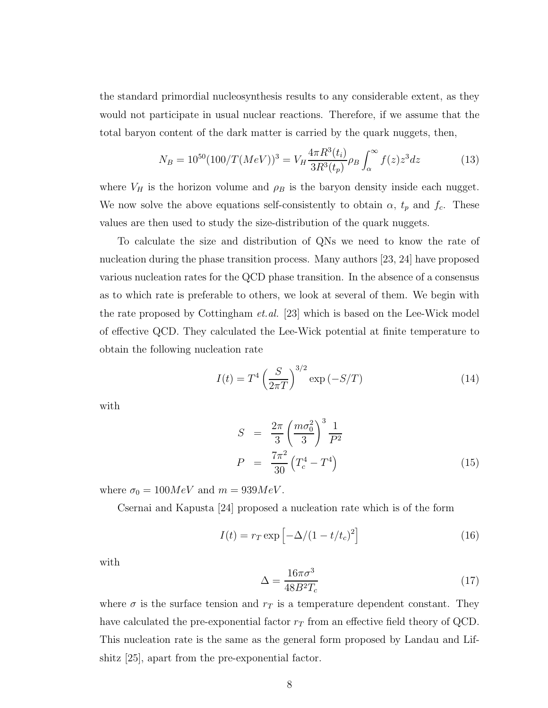the standard primordial nucleosynthesis results to any considerable extent, as they would not participate in usual nuclear reactions. Therefore, if we assume that the total baryon content of the dark matter is carried by the quark nuggets, then,

$$
N_B = 10^{50} (100/T (MeV))^3 = V_H \frac{4\pi R^3(t_i)}{3R^3(t_p)} \rho_B \int_\alpha^\infty f(z) z^3 dz \tag{13}
$$

where  $V_H$  is the horizon volume and  $\rho_B$  is the baryon density inside each nugget. We now solve the above equations self-consistently to obtain  $\alpha$ ,  $t_p$  and  $f_c$ . These values are then used to study the size-distribution of the quark nuggets.

To calculate the size and distribution of QNs we need to know the rate of nucleation during the phase transition process. Many authors [23, 24] have proposed various nucleation rates for the QCD phase transition. In the absence of a consensus as to which rate is preferable to others, we look at several of them. We begin with the rate proposed by Cottingham et.al. [23] which is based on the Lee-Wick model of effective QCD. They calculated the Lee-Wick potential at finite temperature to obtain the following nucleation rate

$$
I(t) = T^{4} \left(\frac{S}{2\pi T}\right)^{3/2} \exp(-S/T)
$$
 (14)

with

$$
S = \frac{2\pi}{3} \left(\frac{m\sigma_0^2}{3}\right)^3 \frac{1}{P^2}
$$
  
\n
$$
P = \frac{7\pi^2}{30} \left(T_c^4 - T^4\right)
$$
\n(15)

where  $\sigma_0 = 100MeV$  and  $m = 939MeV$ .

Csernai and Kapusta [24] proposed a nucleation rate which is of the form

$$
I(t) = r_T \exp\left[-\Delta/(1 - t/t_c)^2\right]
$$
\n(16)

with

$$
\Delta = \frac{16\pi\sigma^3}{48B^2T_c} \tag{17}
$$

where  $\sigma$  is the surface tension and  $r<sub>T</sub>$  is a temperature dependent constant. They have calculated the pre-exponential factor  $r_T$  from an effective field theory of QCD. This nucleation rate is the same as the general form proposed by Landau and Lifshitz [25], apart from the pre-exponential factor.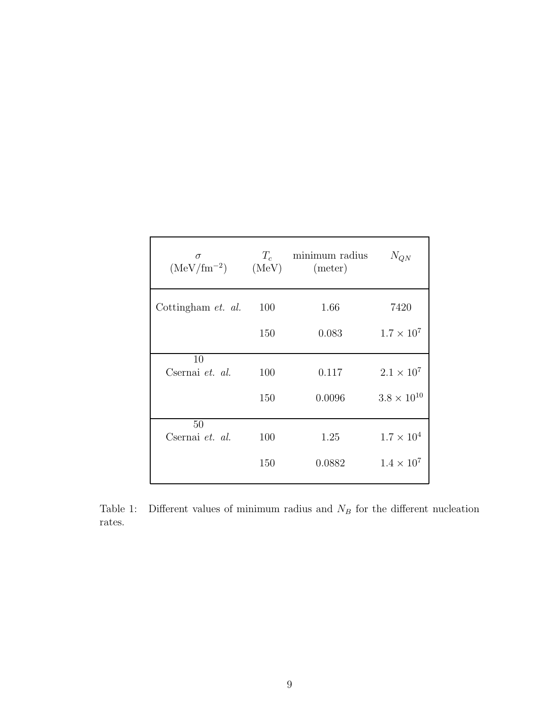| $\sigma$<br>$(MeV/fm^{-2})$ $(MeV)$ | $T_c$ | minimum radius<br>(meter) | $N_{QN}$             |
|-------------------------------------|-------|---------------------------|----------------------|
| Cottingham et. al.                  | 100   | 1.66                      | 7420                 |
|                                     | 150   | 0.083                     | $1.7 \times 10^{7}$  |
| 10                                  |       |                           |                      |
| Csernai et. al.                     | 100   | 0.117                     | $2.1 \times 10^{7}$  |
|                                     | 150   | 0.0096                    | $3.8 \times 10^{10}$ |
| 50                                  |       |                           |                      |
| Csernai et. al.                     | 100   | 1.25                      | $1.7 \times 10^{4}$  |
|                                     | 150   | 0.0882                    | $1.4 \times 10^7$    |
|                                     |       |                           |                      |

Table 1: Different values of minimum radius and  $N_B$  for the different nucleation rates.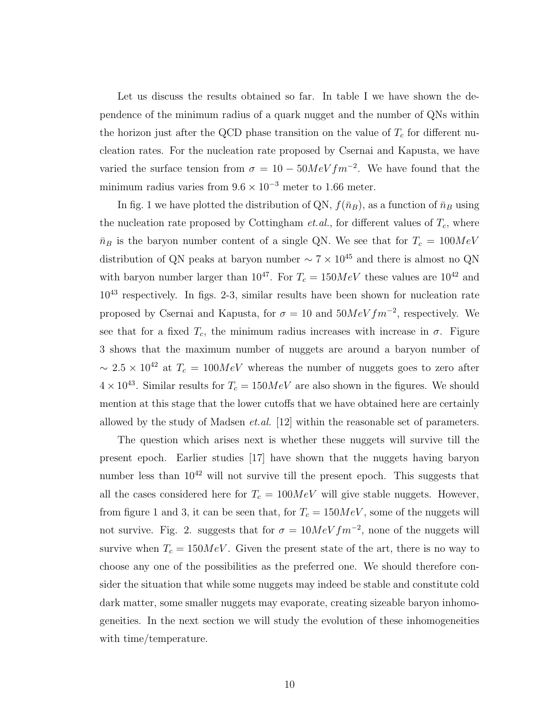Let us discuss the results obtained so far. In table I we have shown the dependence of the minimum radius of a quark nugget and the number of QNs within the horizon just after the QCD phase transition on the value of  $T_c$  for different nucleation rates. For the nucleation rate proposed by Csernai and Kapusta, we have varied the surface tension from  $\sigma = 10 - 50MeV fm^{-2}$ . We have found that the minimum radius varies from  $9.6 \times 10^{-3}$  meter to 1.66 meter.

In fig. 1 we have plotted the distribution of QN,  $f(\bar{n}_B)$ , as a function of  $\bar{n}_B$  using the nucleation rate proposed by Cottingham *et.al.*, for different values of  $T_c$ , where  $\bar{n}_B$  is the baryon number content of a single QN. We see that for  $T_c = 100MeV$ distribution of QN peaks at baryon number  $\sim 7 \times 10^{45}$  and there is almost no QN with baryon number larger than  $10^{47}$ . For  $T_c = 150MeV$  these values are  $10^{42}$  and 10<sup>43</sup> respectively. In figs. 2-3, similar results have been shown for nucleation rate proposed by Csernai and Kapusta, for  $\sigma = 10$  and  $50MeV fm^{-2}$ , respectively. We see that for a fixed  $T_c$ , the minimum radius increases with increase in  $\sigma$ . Figure 3 shows that the maximum number of nuggets are around a baryon number of  $\sim 2.5 \times 10^{42}$  at  $T_c = 100MeV$  whereas the number of nuggets goes to zero after  $4 \times 10^{43}$ . Similar results for  $T_c = 150 MeV$  are also shown in the figures. We should mention at this stage that the lower cutoffs that we have obtained here are certainly allowed by the study of Madsen  $et.al.$  [12] within the reasonable set of parameters.

The question which arises next is whether these nuggets will survive till the present epoch. Earlier studies [17] have shown that the nuggets having baryon number less than  $10^{42}$  will not survive till the present epoch. This suggests that all the cases considered here for  $T_c = 100MeV$  will give stable nuggets. However, from figure 1 and 3, it can be seen that, for  $T_c = 150MeV$ , some of the nuggets will not survive. Fig. 2. suggests that for  $\sigma = 10MeV fm^{-2}$ , none of the nuggets will survive when  $T_c = 150 MeV$ . Given the present state of the art, there is no way to choose any one of the possibilities as the preferred one. We should therefore consider the situation that while some nuggets may indeed be stable and constitute cold dark matter, some smaller nuggets may evaporate, creating sizeable baryon inhomogeneities. In the next section we will study the evolution of these inhomogeneities with time/temperature.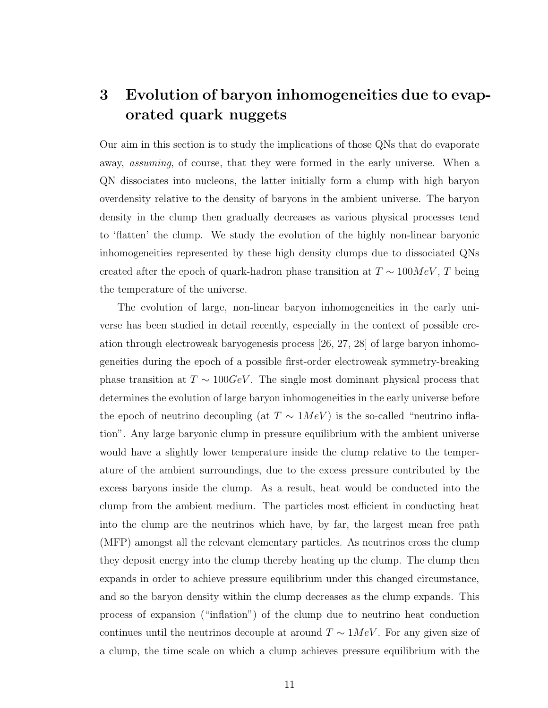## 3 Evolution of baryon inhomogeneities due to evaporated quark nuggets

Our aim in this section is to study the implications of those QNs that do evaporate away, assuming, of course, that they were formed in the early universe. When a QN dissociates into nucleons, the latter initially form a clump with high baryon overdensity relative to the density of baryons in the ambient universe. The baryon density in the clump then gradually decreases as various physical processes tend to 'flatten' the clump. We study the evolution of the highly non-linear baryonic inhomogeneities represented by these high density clumps due to dissociated QNs created after the epoch of quark-hadron phase transition at  $T \sim 100 MeV, T$  being the temperature of the universe.

The evolution of large, non-linear baryon inhomogeneities in the early universe has been studied in detail recently, especially in the context of possible creation through electroweak baryogenesis process [26, 27, 28] of large baryon inhomogeneities during the epoch of a possible first-order electroweak symmetry-breaking phase transition at  $T \sim 100 GeV$ . The single most dominant physical process that determines the evolution of large baryon inhomogeneities in the early universe before the epoch of neutrino decoupling (at  $T \sim 1MeV$ ) is the so-called "neutrino inflation". Any large baryonic clump in pressure equilibrium with the ambient universe would have a slightly lower temperature inside the clump relative to the temperature of the ambient surroundings, due to the excess pressure contributed by the excess baryons inside the clump. As a result, heat would be conducted into the clump from the ambient medium. The particles most efficient in conducting heat into the clump are the neutrinos which have, by far, the largest mean free path (MFP) amongst all the relevant elementary particles. As neutrinos cross the clump they deposit energy into the clump thereby heating up the clump. The clump then expands in order to achieve pressure equilibrium under this changed circumstance, and so the baryon density within the clump decreases as the clump expands. This process of expansion ("inflation") of the clump due to neutrino heat conduction continues until the neutrinos decouple at around  $T \sim 1MeV$ . For any given size of a clump, the time scale on which a clump achieves pressure equilibrium with the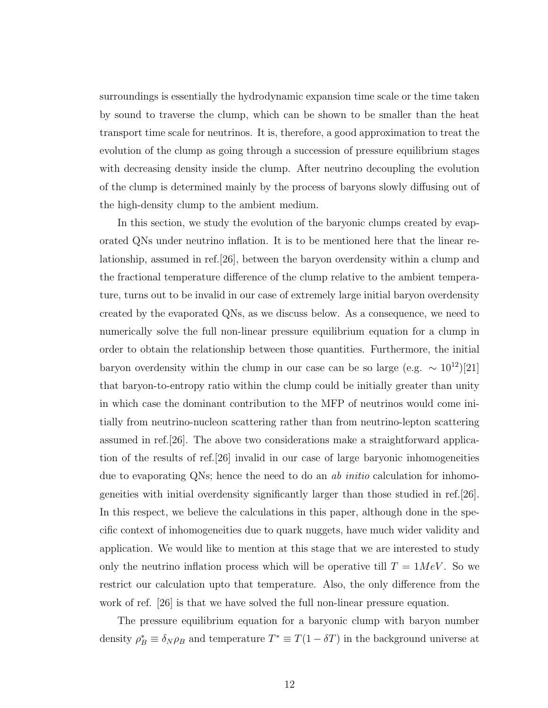surroundings is essentially the hydrodynamic expansion time scale or the time taken by sound to traverse the clump, which can be shown to be smaller than the heat transport time scale for neutrinos. It is, therefore, a good approximation to treat the evolution of the clump as going through a succession of pressure equilibrium stages with decreasing density inside the clump. After neutrino decoupling the evolution of the clump is determined mainly by the process of baryons slowly diffusing out of the high-density clump to the ambient medium.

In this section, we study the evolution of the baryonic clumps created by evaporated QNs under neutrino inflation. It is to be mentioned here that the linear relationship, assumed in ref.[26], between the baryon overdensity within a clump and the fractional temperature difference of the clump relative to the ambient temperature, turns out to be invalid in our case of extremely large initial baryon overdensity created by the evaporated QNs, as we discuss below. As a consequence, we need to numerically solve the full non-linear pressure equilibrium equation for a clump in order to obtain the relationship between those quantities. Furthermore, the initial baryon overdensity within the clump in our case can be so large (e.g.  $\sim 10^{12}$ )[21] that baryon-to-entropy ratio within the clump could be initially greater than unity in which case the dominant contribution to the MFP of neutrinos would come initially from neutrino-nucleon scattering rather than from neutrino-lepton scattering assumed in ref.[26]. The above two considerations make a straightforward application of the results of ref.[26] invalid in our case of large baryonic inhomogeneities due to evaporating QNs; hence the need to do an ab *initio* calculation for inhomogeneities with initial overdensity significantly larger than those studied in ref.[26]. In this respect, we believe the calculations in this paper, although done in the specific context of inhomogeneities due to quark nuggets, have much wider validity and application. We would like to mention at this stage that we are interested to study only the neutrino inflation process which will be operative till  $T = 1MeV$ . So we restrict our calculation upto that temperature. Also, the only difference from the work of ref. [26] is that we have solved the full non-linear pressure equation.

The pressure equilibrium equation for a baryonic clump with baryon number density  $\rho_B^* \equiv \delta_N \rho_B$  and temperature  $T^* \equiv T(1 - \delta T)$  in the background universe at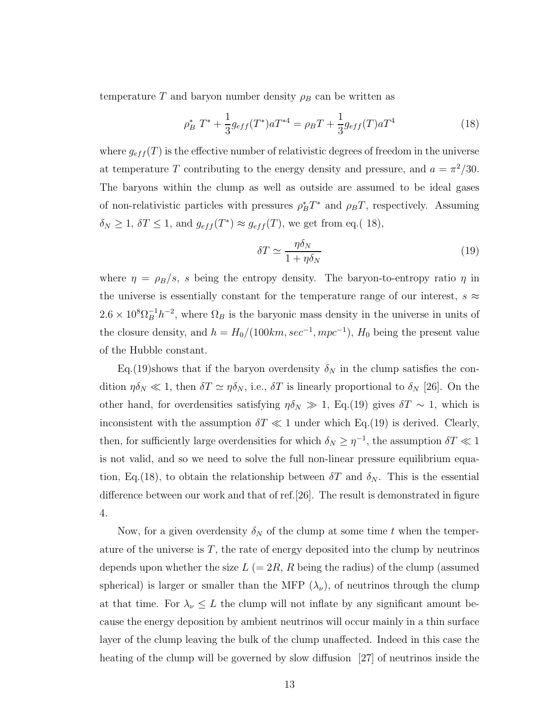temperature T and baryon number density  $\rho_B$  can be written as

$$
\rho_B^* T^* + \frac{1}{3} g_{eff}(T^*) a T^{*4} = \rho_B T + \frac{1}{3} g_{eff}(T) a T^4 \tag{18}
$$

where  $g_{eff}(T)$  is the effective number of relativistic degrees of freedom in the universe at temperature T contributing to the energy density and pressure, and  $a = \pi^2/30$ . The baryons within the clump as well as outside are assumed to be ideal gases of non-relativistic particles with pressures  $\rho_B^* T^*$  and  $\rho_B T$ , respectively. Assuming  $\delta_N \geq 1$ ,  $\delta T \leq 1$ , and  $g_{eff}(T^*) \approx g_{eff}(T)$ , we get from eq.(18),

$$
\delta T \simeq \frac{\eta \delta_N}{1 + \eta \delta_N} \tag{19}
$$

where  $\eta = \rho_B/s$ , s being the entropy density. The baryon-to-entropy ratio  $\eta$  in the universe is essentially constant for the temperature range of our interest,  $s \approx$  $2.6 \times 10^8 \Omega_B^{-1} h^{-2}$ , where  $\Omega_B$  is the baryonic mass density in the universe in units of the closure density, and  $h = H_0/(100km, sec^{-1}, mpc^{-1}), H_0$  being the present value of the Hubble constant.

Eq.(19)shows that if the baryon overdensity  $\delta_N$  in the clump satisfies the condition  $\eta \delta_N \ll 1$ , then  $\delta T \simeq \eta \delta_N$ , i.e.,  $\delta T$  is linearly proportional to  $\delta_N$  [26]. On the other hand, for overdensities satisfying  $\eta \delta_N \gg 1$ , Eq.(19) gives  $\delta T \sim 1$ , which is inconsistent with the assumption  $\delta T \ll 1$  under which Eq.(19) is derived. Clearly, then, for sufficiently large overdensities for which  $\delta_N \geq \eta^{-1}$ , the assumption  $\delta T \ll 1$ is not valid, and so we need to solve the full non-linear pressure equilibrium equation, Eq.(18), to obtain the relationship between  $\delta T$  and  $\delta_N$ . This is the essential difference between our work and that of ref.[26]. The result is demonstrated in figure 4.

Now, for a given overdensity  $\delta_N$  of the clump at some time t when the temperature of the universe is  $T$ , the rate of energy deposited into the clump by neutrinos depends upon whether the size  $L (= 2R, R)$  being the radius) of the clump (assumed spherical) is larger or smaller than the MFP  $(\lambda_{\nu})$ , of neutrinos through the clump at that time. For  $\lambda_{\nu} \leq L$  the clump will not inflate by any significant amount because the energy deposition by ambient neutrinos will occur mainly in a thin surface layer of the clump leaving the bulk of the clump unaffected. Indeed in this case the heating of the clump will be governed by slow diffusion [27] of neutrinos inside the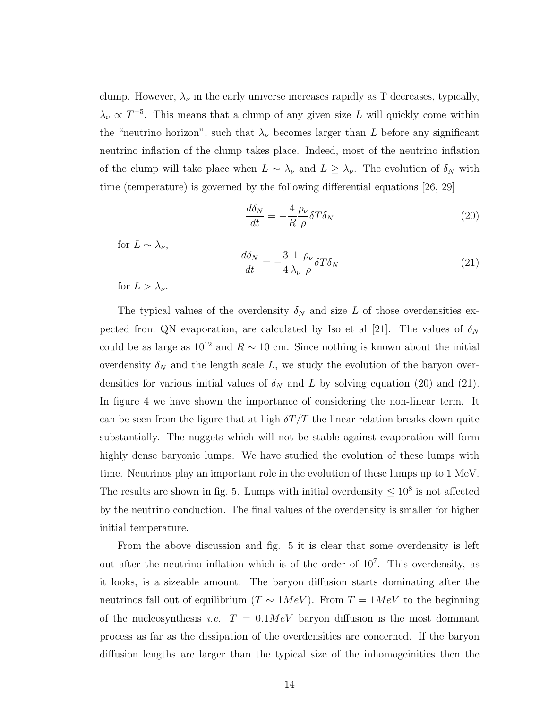clump. However,  $\lambda_{\nu}$  in the early universe increases rapidly as T decreases, typically,  $\lambda_{\nu} \propto T^{-5}$ . This means that a clump of any given size L will quickly come within the "neutrino horizon", such that  $\lambda_{\nu}$  becomes larger than L before any significant neutrino inflation of the clump takes place. Indeed, most of the neutrino inflation of the clump will take place when  $L \sim \lambda_{\nu}$  and  $L \geq \lambda_{\nu}$ . The evolution of  $\delta_{N}$  with time (temperature) is governed by the following differential equations [26, 29]

$$
\frac{d\delta_N}{dt} = -\frac{4}{R} \frac{\rho_\nu}{\rho} \delta T \delta_N \tag{20}
$$

for  $L \sim \lambda_{\nu}$ ,

$$
\frac{d\delta_N}{dt} = -\frac{3}{4} \frac{1}{\lambda_\nu} \frac{\rho_\nu}{\rho} \delta T \delta_N \tag{21}
$$

for  $L > \lambda_{\nu}$ .

The typical values of the overdensity  $\delta_N$  and size L of those overdensities expected from QN evaporation, are calculated by Iso et al [21]. The values of  $\delta_N$ could be as large as  $10^{12}$  and  $R \sim 10$  cm. Since nothing is known about the initial overdensity  $\delta_N$  and the length scale L, we study the evolution of the baryon overdensities for various initial values of  $\delta_N$  and L by solving equation (20) and (21). In figure 4 we have shown the importance of considering the non-linear term. It can be seen from the figure that at high  $\delta T/T$  the linear relation breaks down quite substantially. The nuggets which will not be stable against evaporation will form highly dense baryonic lumps. We have studied the evolution of these lumps with time. Neutrinos play an important role in the evolution of these lumps up to 1 MeV. The results are shown in fig. 5. Lumps with initial overdensity  $\leq 10^8$  is not affected by the neutrino conduction. The final values of the overdensity is smaller for higher initial temperature.

From the above discussion and fig. 5 it is clear that some overdensity is left out after the neutrino inflation which is of the order of 10<sup>7</sup> . This overdensity, as it looks, is a sizeable amount. The baryon diffusion starts dominating after the neutrinos fall out of equilibrium ( $T \sim 1MeV$ ). From  $T = 1MeV$  to the beginning of the nucleosynthesis *i.e.*  $T = 0.1MeV$  baryon diffusion is the most dominant process as far as the dissipation of the overdensities are concerned. If the baryon diffusion lengths are larger than the typical size of the inhomogeinities then the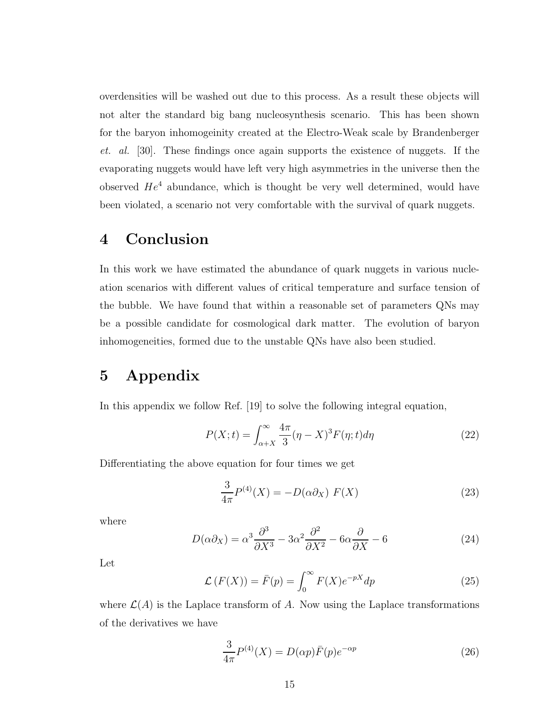overdensities will be washed out due to this process. As a result these objects will not alter the standard big bang nucleosynthesis scenario. This has been shown for the baryon inhomogeinity created at the Electro-Weak scale by Brandenberger et. al. [30]. These findings once again supports the existence of nuggets. If the evaporating nuggets would have left very high asymmetries in the universe then the observed  $He<sup>4</sup>$  abundance, which is thought be very well determined, would have been violated, a scenario not very comfortable with the survival of quark nuggets.

### 4 Conclusion

In this work we have estimated the abundance of quark nuggets in various nucleation scenarios with different values of critical temperature and surface tension of the bubble. We have found that within a reasonable set of parameters QNs may be a possible candidate for cosmological dark matter. The evolution of baryon inhomogeneities, formed due to the unstable QNs have also been studied.

### 5 Appendix

In this appendix we follow Ref. [19] to solve the following integral equation,

$$
P(X;t) = \int_{\alpha+X}^{\infty} \frac{4\pi}{3} (\eta - X)^3 F(\eta;t) d\eta \tag{22}
$$

Differentiating the above equation for four times we get

$$
\frac{3}{4\pi}P^{(4)}(X) = -D(\alpha\partial_X) F(X)
$$
\n(23)

where

$$
D(\alpha \partial_X) = \alpha^3 \frac{\partial^3}{\partial X^3} - 3\alpha^2 \frac{\partial^2}{\partial X^2} - 6\alpha \frac{\partial}{\partial X} - 6 \tag{24}
$$

Let

$$
\mathcal{L}(F(X)) = \bar{F}(p) = \int_0^\infty F(X)e^{-pX}dp
$$
\n(25)

where  $\mathcal{L}(A)$  is the Laplace transform of A. Now using the Laplace transformations of the derivatives we have

$$
\frac{3}{4\pi}P^{(4)}(X) = D(\alpha p)\bar{F}(p)e^{-\alpha p}
$$
\n(26)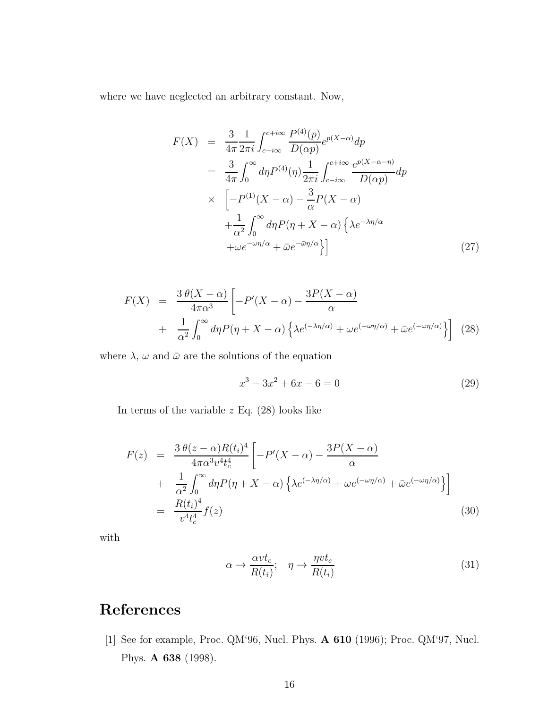where we have neglected an arbitrary constant. Now,

$$
F(X) = \frac{3}{4\pi} \frac{1}{2\pi i} \int_{c-i\infty}^{c+i\infty} \frac{P^{(4)}(p)}{D(\alpha p)} e^{p(X-\alpha)} dp
$$
  
\n
$$
= \frac{3}{4\pi} \int_0^\infty d\eta P^{(4)}(\eta) \frac{1}{2\pi i} \int_{c-i\infty}^{c+i\infty} \frac{e^{p(X-\alpha-\eta)}}{D(\alpha p)} dp
$$
  
\n
$$
\times \left[ -P^{(1)}(X-\alpha) - \frac{3}{\alpha} P(X-\alpha) + \frac{1}{\alpha^2} \int_0^\infty d\eta P(\eta + X - \alpha) \left\{ \lambda e^{-\lambda \eta/\alpha} + \omega e^{-\omega \eta/\alpha} + \bar{\omega} e^{-\bar{\omega} \eta/\alpha} \right\} \right]
$$
(27)

$$
F(X) = \frac{3 \theta(X - \alpha)}{4\pi\alpha^3} \left[ -P'(X - \alpha) - \frac{3P(X - \alpha)}{\alpha} + \frac{1}{\alpha^2} \int_0^\infty d\eta P(\eta + X - \alpha) \left\{ \lambda e^{(-\lambda \eta/\alpha)} + \omega e^{(-\omega \eta/\alpha)} + \bar{\omega} e^{(-\omega \eta/\alpha)} \right\} \right] (28)
$$

where  $\lambda$ ,  $\omega$  and  $\bar{\omega}$  are the solutions of the equation

$$
x^3 - 3x^2 + 6x - 6 = 0 \tag{29}
$$

In terms of the variable  $z$  Eq.  $(28)$  looks like

$$
F(z) = \frac{3 \theta(z-\alpha)R(t_i)^4}{4\pi \alpha^3 v^4 t_c^4} \left[ -P'(X-\alpha) - \frac{3P(X-\alpha)}{\alpha} + \frac{1}{\alpha^2} \int_0^\infty d\eta P(\eta + X - \alpha) \left\{ \lambda e^{(-\lambda \eta/\alpha)} + \omega e^{(-\omega \eta/\alpha)} + \bar{\omega} e^{(-\omega \eta/\alpha)} \right\} \right]
$$
  

$$
= \frac{R(t_i)^4}{v^4 t_c^4} f(z)
$$
(30)

with

$$
\alpha \to \frac{\alpha vt_c}{R(t_i)}; \quad \eta \to \frac{\eta vt_c}{R(t_i)}
$$
\n(31)

# References

[1] See for example, Proc. QM'96, Nucl. Phys. A 610 (1996); Proc. QM'97, Nucl. Phys. A 638 (1998).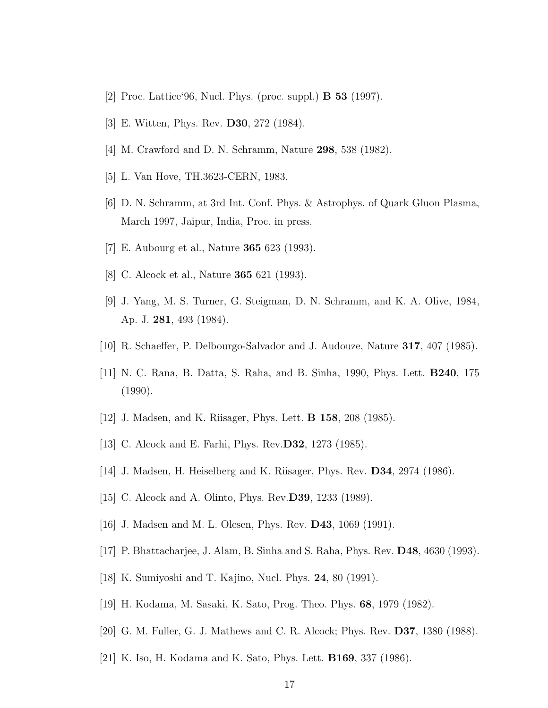- [2] Proc. Lattice'96, Nucl. Phys. (proc. suppl.) B 53 (1997).
- [3] E. Witten, Phys. Rev. D30, 272 (1984).
- [4] M. Crawford and D. N. Schramm, Nature 298, 538 (1982).
- [5] L. Van Hove, TH.3623-CERN, 1983.
- [6] D. N. Schramm, at 3rd Int. Conf. Phys. & Astrophys. of Quark Gluon Plasma, March 1997, Jaipur, India, Proc. in press.
- [7] E. Aubourg et al., Nature 365 623 (1993).
- [8] C. Alcock et al., Nature 365 621 (1993).
- [9] J. Yang, M. S. Turner, G. Steigman, D. N. Schramm, and K. A. Olive, 1984, Ap. J. 281, 493 (1984).
- [10] R. Schaeffer, P. Delbourgo-Salvador and J. Audouze, Nature 317, 407 (1985).
- [11] N. C. Rana, B. Datta, S. Raha, and B. Sinha, 1990, Phys. Lett. B240, 175 (1990).
- [12] J. Madsen, and K. Riisager, Phys. Lett. B 158, 208 (1985).
- [13] C. Alcock and E. Farhi, Phys. Rev.D32, 1273 (1985).
- [14] J. Madsen, H. Heiselberg and K. Riisager, Phys. Rev. D34, 2974 (1986).
- [15] C. Alcock and A. Olinto, Phys. Rev.D39, 1233 (1989).
- [16] J. Madsen and M. L. Olesen, Phys. Rev. D43, 1069 (1991).
- [17] P. Bhattacharjee, J. Alam, B. Sinha and S. Raha, Phys. Rev. D48, 4630 (1993).
- [18] K. Sumiyoshi and T. Kajino, Nucl. Phys. 24, 80 (1991).
- [19] H. Kodama, M. Sasaki, K. Sato, Prog. Theo. Phys. 68, 1979 (1982).
- [20] G. M. Fuller, G. J. Mathews and C. R. Alcock; Phys. Rev. D37, 1380 (1988).
- [21] K. Iso, H. Kodama and K. Sato, Phys. Lett. B169, 337 (1986).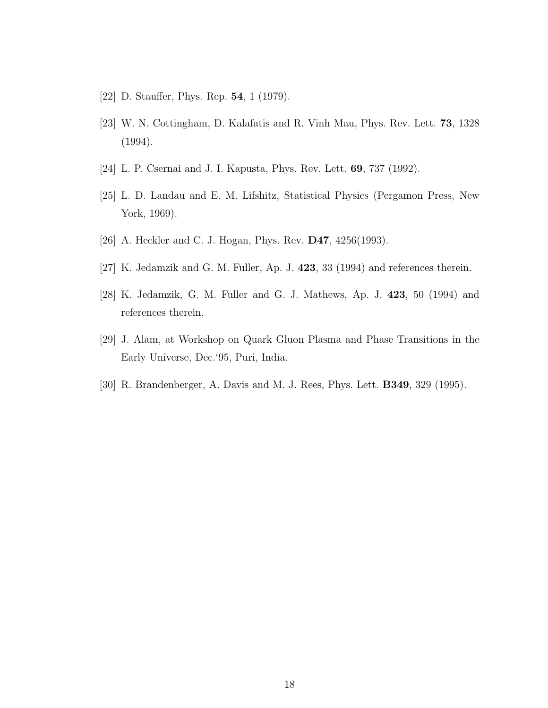- [22] D. Stauffer, Phys. Rep. 54, 1 (1979).
- [23] W. N. Cottingham, D. Kalafatis and R. Vinh Mau, Phys. Rev. Lett. 73, 1328 (1994).
- [24] L. P. Csernai and J. I. Kapusta, Phys. Rev. Lett. **69**, 737 (1992).
- [25] L. D. Landau and E. M. Lifshitz, Statistical Physics (Pergamon Press, New York, 1969).
- [26] A. Heckler and C. J. Hogan, Phys. Rev. **D47**, 4256(1993).
- [27] K. Jedamzik and G. M. Fuller, Ap. J. 423, 33 (1994) and references therein.
- [28] K. Jedamzik, G. M. Fuller and G. J. Mathews, Ap. J. 423, 50 (1994) and references therein.
- [29] J. Alam, at Workshop on Quark Gluon Plasma and Phase Transitions in the Early Universe, Dec.'95, Puri, India.
- [30] R. Brandenberger, A. Davis and M. J. Rees, Phys. Lett. B349, 329 (1995).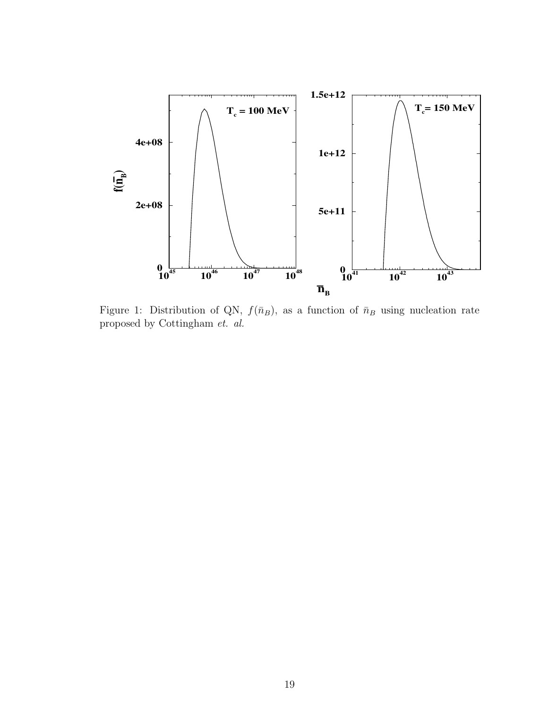

Figure 1: Distribution of QN,  $f(\bar{n}_B)$ , as a function of  $\bar{n}_B$  using nucleation rate proposed by Cottingham et. al.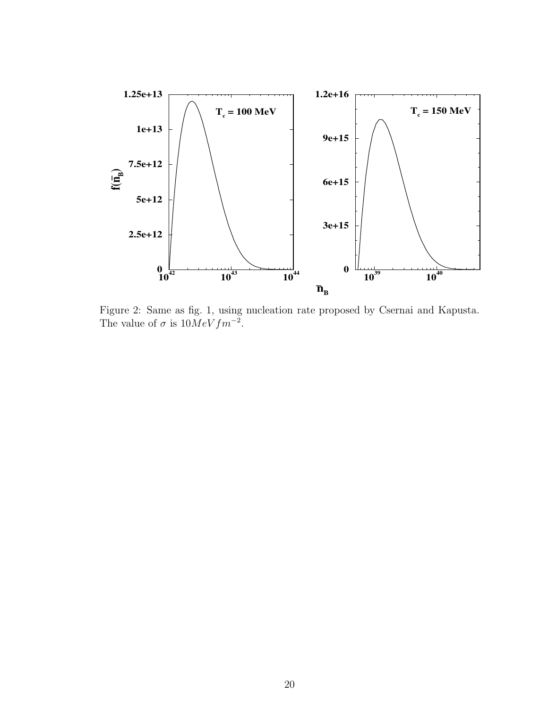

Figure 2: Same as fig. 1, using nucleation rate proposed by Csernai and Kapusta. The value of  $\sigma$  is  $10MeV fm^{-2}$ .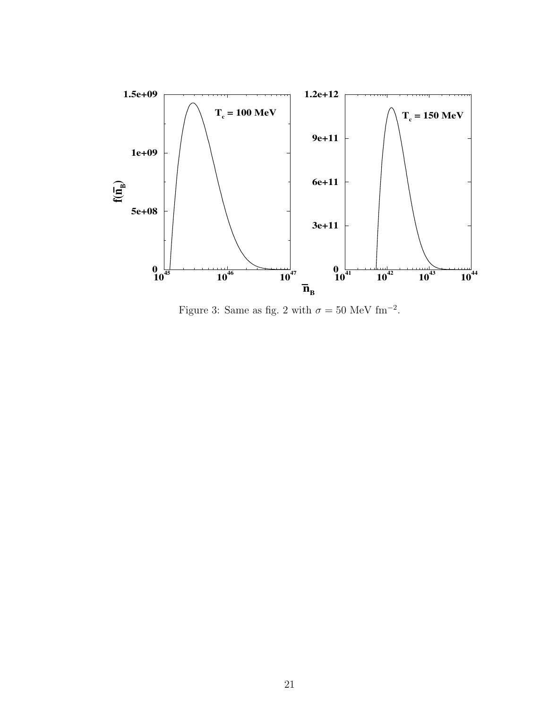

Figure 3: Same as fig. 2 with  $\sigma = 50$  MeV fm<sup>-2</sup>.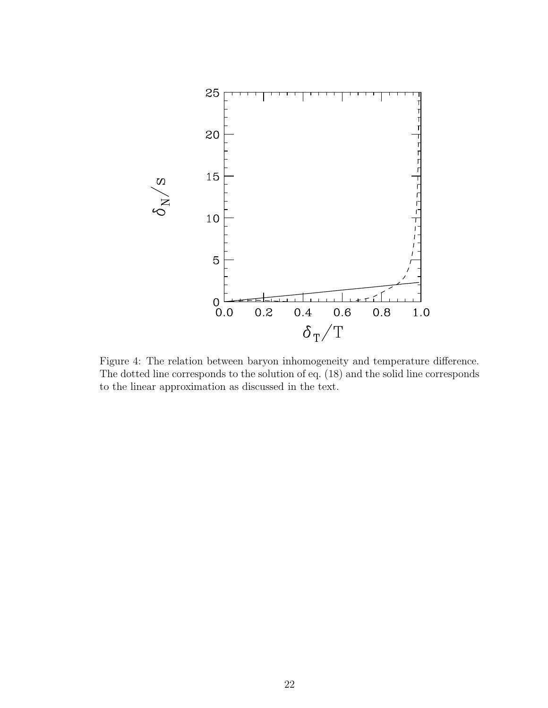

Figure 4: The relation between baryon inhomogeneity and temperature difference. The dotted line corresponds to the solution of eq. (18) and the solid line corresponds to the linear approximation as discussed in the text.